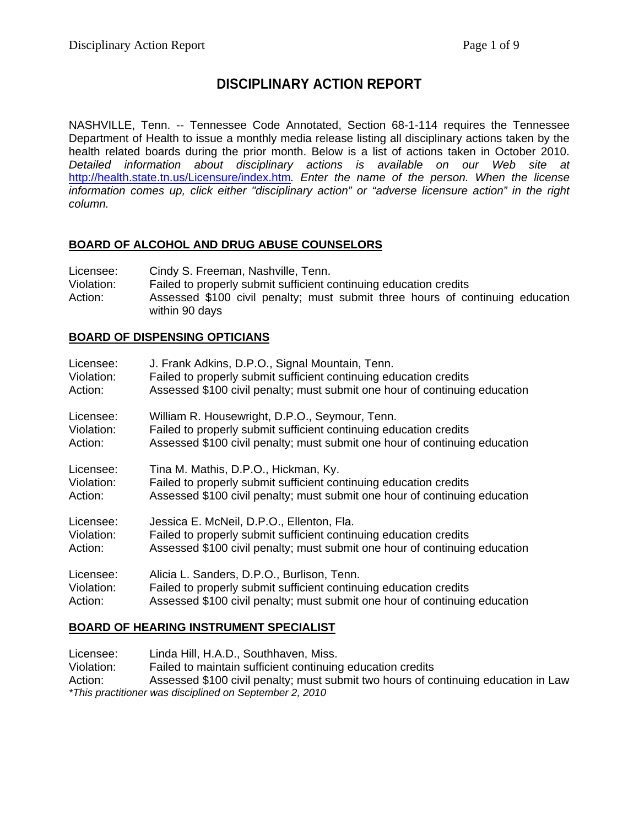# **DISCIPLINARY ACTION REPORT**

NASHVILLE, Tenn. -- Tennessee Code Annotated, Section 68-1-114 requires the Tennessee Department of Health to issue a monthly media release listing all disciplinary actions taken by the health related boards during the prior month. Below is a list of actions taken in October 2010. *Detailed information about disciplinary actions is available on our Web site at*  <http://health.state.tn.us/Licensure/index.htm>*. Enter the name of the person. When the license information comes up, click either "disciplinary action" or "adverse licensure action" in the right column.* 

## **BOARD OF ALCOHOL AND DRUG ABUSE COUNSELORS**

Licensee: Cindy S. Freeman, Nashville, Tenn. Violation: Failed to properly submit sufficient continuing education credits Action: Assessed \$100 civil penalty; must submit three hours of continuing education within 90 days

### **BOARD OF DISPENSING OPTICIANS**

| Licensee:  | J. Frank Adkins, D.P.O., Signal Mountain, Tenn.                            |
|------------|----------------------------------------------------------------------------|
| Violation: | Failed to properly submit sufficient continuing education credits          |
| Action:    | Assessed \$100 civil penalty; must submit one hour of continuing education |
| Licensee:  | William R. Housewright, D.P.O., Seymour, Tenn.                             |
| Violation: | Failed to properly submit sufficient continuing education credits          |
| Action:    | Assessed \$100 civil penalty; must submit one hour of continuing education |
| Licensee:  | Tina M. Mathis, D.P.O., Hickman, Ky.                                       |
| Violation: | Failed to properly submit sufficient continuing education credits          |
| Action:    | Assessed \$100 civil penalty; must submit one hour of continuing education |
| Licensee:  | Jessica E. McNeil, D.P.O., Ellenton, Fla.                                  |
| Violation: | Failed to properly submit sufficient continuing education credits          |
| Action:    | Assessed \$100 civil penalty; must submit one hour of continuing education |
| Licensee:  | Alicia L. Sanders, D.P.O., Burlison, Tenn.                                 |
| Violation: | Failed to properly submit sufficient continuing education credits          |
| Action:    | Assessed \$100 civil penalty; must submit one hour of continuing education |

## **BOARD OF HEARING INSTRUMENT SPECIALIST**

Licensee: Linda Hill, H.A.D., Southhaven, Miss. Violation: Failed to maintain sufficient continuing education credits Action: Assessed \$100 civil penalty; must submit two hours of continuing education in Law *\*This practitioner was disciplined on September 2, 2010*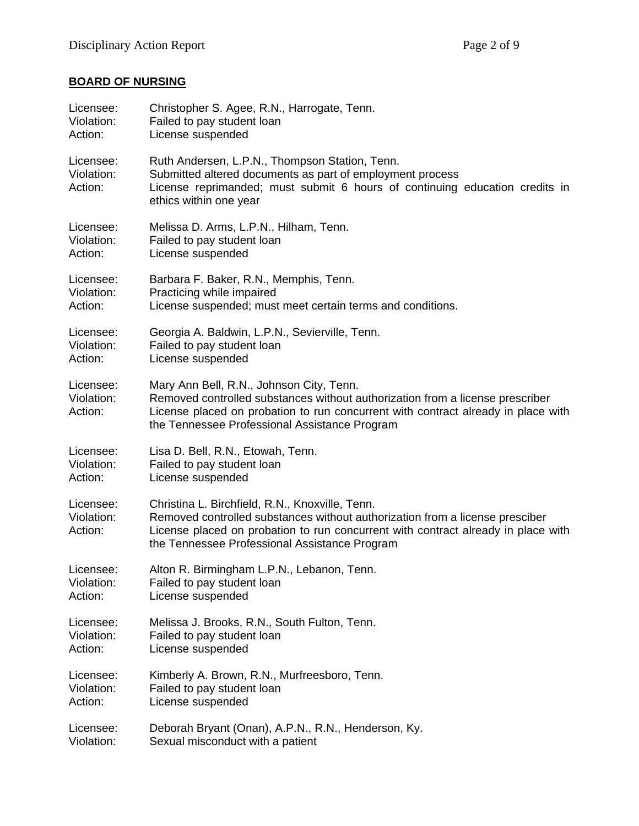# **BOARD OF NURSING**

| Licensee:                          | Christopher S. Agee, R.N., Harrogate, Tenn.                                                                                                                                                                                                                           |
|------------------------------------|-----------------------------------------------------------------------------------------------------------------------------------------------------------------------------------------------------------------------------------------------------------------------|
| Violation:                         | Failed to pay student loan                                                                                                                                                                                                                                            |
| Action:                            | License suspended                                                                                                                                                                                                                                                     |
| Licensee:<br>Violation:<br>Action: | Ruth Andersen, L.P.N., Thompson Station, Tenn.<br>Submitted altered documents as part of employment process<br>License reprimanded; must submit 6 hours of continuing education credits in<br>ethics within one year                                                  |
| Licensee:                          | Melissa D. Arms, L.P.N., Hilham, Tenn.                                                                                                                                                                                                                                |
| Violation:                         | Failed to pay student loan                                                                                                                                                                                                                                            |
| Action:                            | License suspended                                                                                                                                                                                                                                                     |
| Licensee:                          | Barbara F. Baker, R.N., Memphis, Tenn.                                                                                                                                                                                                                                |
| Violation:                         | Practicing while impaired                                                                                                                                                                                                                                             |
| Action:                            | License suspended; must meet certain terms and conditions.                                                                                                                                                                                                            |
| Licensee:                          | Georgia A. Baldwin, L.P.N., Sevierville, Tenn.                                                                                                                                                                                                                        |
| Violation:                         | Failed to pay student loan                                                                                                                                                                                                                                            |
| Action:                            | License suspended                                                                                                                                                                                                                                                     |
| Licensee:<br>Violation:<br>Action: | Mary Ann Bell, R.N., Johnson City, Tenn.<br>Removed controlled substances without authorization from a license prescriber<br>License placed on probation to run concurrent with contract already in place with<br>the Tennessee Professional Assistance Program       |
| Licensee:                          | Lisa D. Bell, R.N., Etowah, Tenn.                                                                                                                                                                                                                                     |
| Violation:                         | Failed to pay student loan                                                                                                                                                                                                                                            |
| Action:                            | License suspended                                                                                                                                                                                                                                                     |
| Licensee:<br>Violation:<br>Action: | Christina L. Birchfield, R.N., Knoxville, Tenn.<br>Removed controlled substances without authorization from a license presciber<br>License placed on probation to run concurrent with contract already in place with<br>the Tennessee Professional Assistance Program |
| Licensee:                          | Alton R. Birmingham L.P.N., Lebanon, Tenn.                                                                                                                                                                                                                            |
| Violation:                         | Failed to pay student loan                                                                                                                                                                                                                                            |
| Action:                            | License suspended                                                                                                                                                                                                                                                     |
| Licensee:                          | Melissa J. Brooks, R.N., South Fulton, Tenn.                                                                                                                                                                                                                          |
| Violation:                         | Failed to pay student loan                                                                                                                                                                                                                                            |
| Action:                            | License suspended                                                                                                                                                                                                                                                     |
| Licensee:                          | Kimberly A. Brown, R.N., Murfreesboro, Tenn.                                                                                                                                                                                                                          |
| Violation:                         | Failed to pay student loan                                                                                                                                                                                                                                            |
| Action:                            | License suspended                                                                                                                                                                                                                                                     |
| Licensee:                          | Deborah Bryant (Onan), A.P.N., R.N., Henderson, Ky.                                                                                                                                                                                                                   |
| Violation:                         | Sexual misconduct with a patient                                                                                                                                                                                                                                      |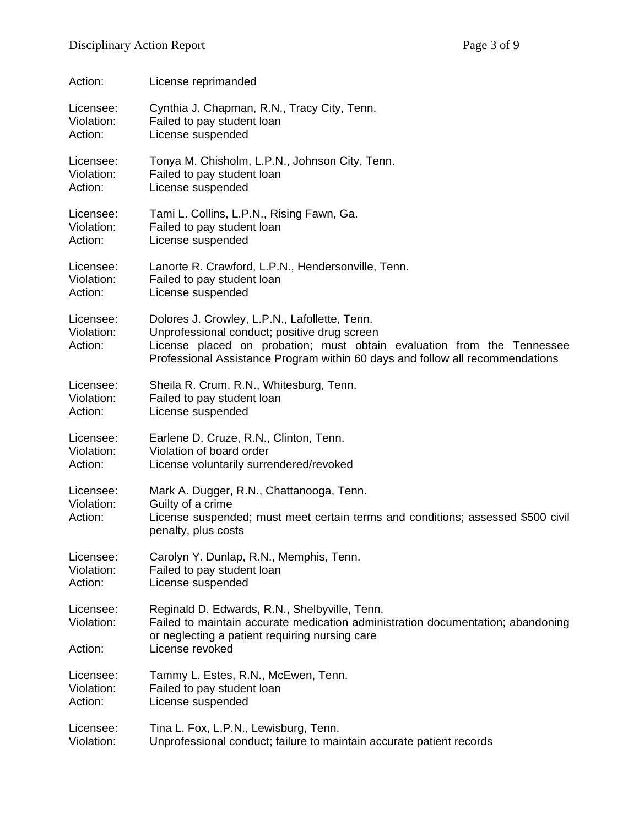| Action:                            | License reprimanded                                                                                                                                                                                                                                      |
|------------------------------------|----------------------------------------------------------------------------------------------------------------------------------------------------------------------------------------------------------------------------------------------------------|
| Licensee:                          | Cynthia J. Chapman, R.N., Tracy City, Tenn.                                                                                                                                                                                                              |
| Violation:                         | Failed to pay student loan                                                                                                                                                                                                                               |
| Action:                            | License suspended                                                                                                                                                                                                                                        |
| Licensee:                          | Tonya M. Chisholm, L.P.N., Johnson City, Tenn.                                                                                                                                                                                                           |
| Violation:                         | Failed to pay student loan                                                                                                                                                                                                                               |
| Action:                            | License suspended                                                                                                                                                                                                                                        |
| Licensee:                          | Tami L. Collins, L.P.N., Rising Fawn, Ga.                                                                                                                                                                                                                |
| Violation:                         | Failed to pay student loan                                                                                                                                                                                                                               |
| Action:                            | License suspended                                                                                                                                                                                                                                        |
| Licensee:                          | Lanorte R. Crawford, L.P.N., Hendersonville, Tenn.                                                                                                                                                                                                       |
| Violation:                         | Failed to pay student loan                                                                                                                                                                                                                               |
| Action:                            | License suspended                                                                                                                                                                                                                                        |
| Licensee:<br>Violation:<br>Action: | Dolores J. Crowley, L.P.N., Lafollette, Tenn.<br>Unprofessional conduct; positive drug screen<br>License placed on probation; must obtain evaluation from the Tennessee<br>Professional Assistance Program within 60 days and follow all recommendations |
| Licensee:                          | Sheila R. Crum, R.N., Whitesburg, Tenn.                                                                                                                                                                                                                  |
| Violation:                         | Failed to pay student loan                                                                                                                                                                                                                               |
| Action:                            | License suspended                                                                                                                                                                                                                                        |
| Licensee:                          | Earlene D. Cruze, R.N., Clinton, Tenn.                                                                                                                                                                                                                   |
| Violation:                         | Violation of board order                                                                                                                                                                                                                                 |
| Action:                            | License voluntarily surrendered/revoked                                                                                                                                                                                                                  |
| Licensee:<br>Violation:<br>Action: | Mark A. Dugger, R.N., Chattanooga, Tenn.<br>Guilty of a crime<br>License suspended; must meet certain terms and conditions; assessed \$500 civil<br>penalty, plus costs                                                                                  |
| Licensee:                          | Carolyn Y. Dunlap, R.N., Memphis, Tenn.                                                                                                                                                                                                                  |
| Violation:                         | Failed to pay student loan                                                                                                                                                                                                                               |
| Action:                            | License suspended                                                                                                                                                                                                                                        |
| Licensee:<br>Violation:<br>Action: | Reginald D. Edwards, R.N., Shelbyville, Tenn.<br>Failed to maintain accurate medication administration documentation; abandoning<br>or neglecting a patient requiring nursing care<br>License revoked                                                    |
| Licensee:                          | Tammy L. Estes, R.N., McEwen, Tenn.                                                                                                                                                                                                                      |
| Violation:                         | Failed to pay student loan                                                                                                                                                                                                                               |
| Action:                            | License suspended                                                                                                                                                                                                                                        |
| Licensee:                          | Tina L. Fox, L.P.N., Lewisburg, Tenn.                                                                                                                                                                                                                    |
| Violation:                         | Unprofessional conduct; failure to maintain accurate patient records                                                                                                                                                                                     |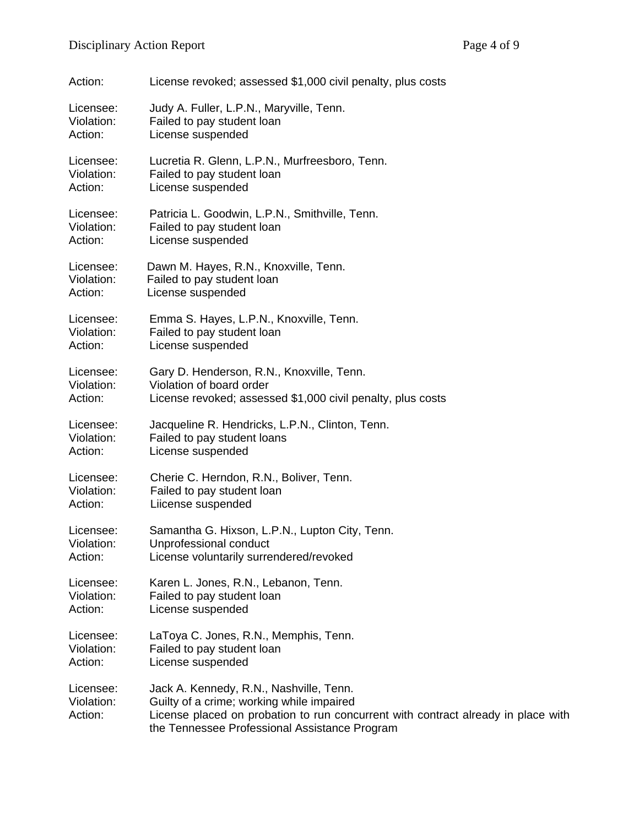| Action:                            | License revoked; assessed \$1,000 civil penalty, plus costs                                                                                                                                                                |
|------------------------------------|----------------------------------------------------------------------------------------------------------------------------------------------------------------------------------------------------------------------------|
| Licensee:                          | Judy A. Fuller, L.P.N., Maryville, Tenn.                                                                                                                                                                                   |
| Violation:                         | Failed to pay student loan                                                                                                                                                                                                 |
| Action:                            | License suspended                                                                                                                                                                                                          |
| Licensee:                          | Lucretia R. Glenn, L.P.N., Murfreesboro, Tenn.                                                                                                                                                                             |
| Violation:                         | Failed to pay student loan                                                                                                                                                                                                 |
| Action:                            | License suspended                                                                                                                                                                                                          |
| Licensee:                          | Patricia L. Goodwin, L.P.N., Smithville, Tenn.                                                                                                                                                                             |
| Violation:                         | Failed to pay student loan                                                                                                                                                                                                 |
| Action:                            | License suspended                                                                                                                                                                                                          |
| Licensee:                          | Dawn M. Hayes, R.N., Knoxville, Tenn.                                                                                                                                                                                      |
| Violation:                         | Failed to pay student loan                                                                                                                                                                                                 |
| Action:                            | License suspended                                                                                                                                                                                                          |
| Licensee:                          | Emma S. Hayes, L.P.N., Knoxville, Tenn.                                                                                                                                                                                    |
| Violation:                         | Failed to pay student loan                                                                                                                                                                                                 |
| Action:                            | License suspended                                                                                                                                                                                                          |
| Licensee:                          | Gary D. Henderson, R.N., Knoxville, Tenn.                                                                                                                                                                                  |
| Violation:                         | Violation of board order                                                                                                                                                                                                   |
| Action:                            | License revoked; assessed \$1,000 civil penalty, plus costs                                                                                                                                                                |
| Licensee:                          | Jacqueline R. Hendricks, L.P.N., Clinton, Tenn.                                                                                                                                                                            |
| Violation:                         | Failed to pay student loans                                                                                                                                                                                                |
| Action:                            | License suspended                                                                                                                                                                                                          |
| Licensee:                          | Cherie C. Herndon, R.N., Boliver, Tenn.                                                                                                                                                                                    |
| Violation:                         | Failed to pay student loan                                                                                                                                                                                                 |
| Action:                            | Liicense suspended                                                                                                                                                                                                         |
| Licensee:                          | Samantha G. Hixson, L.P.N., Lupton City, Tenn.                                                                                                                                                                             |
| Violation:                         | Unprofessional conduct                                                                                                                                                                                                     |
| Action:                            | License voluntarily surrendered/revoked                                                                                                                                                                                    |
| Licensee:                          | Karen L. Jones, R.N., Lebanon, Tenn.                                                                                                                                                                                       |
| Violation:                         | Failed to pay student loan                                                                                                                                                                                                 |
| Action:                            | License suspended                                                                                                                                                                                                          |
| Licensee:                          | LaToya C. Jones, R.N., Memphis, Tenn.                                                                                                                                                                                      |
| Violation:                         | Failed to pay student loan                                                                                                                                                                                                 |
| Action:                            | License suspended                                                                                                                                                                                                          |
| Licensee:<br>Violation:<br>Action: | Jack A. Kennedy, R.N., Nashville, Tenn.<br>Guilty of a crime; working while impaired<br>License placed on probation to run concurrent with contract already in place with<br>the Tennessee Professional Assistance Program |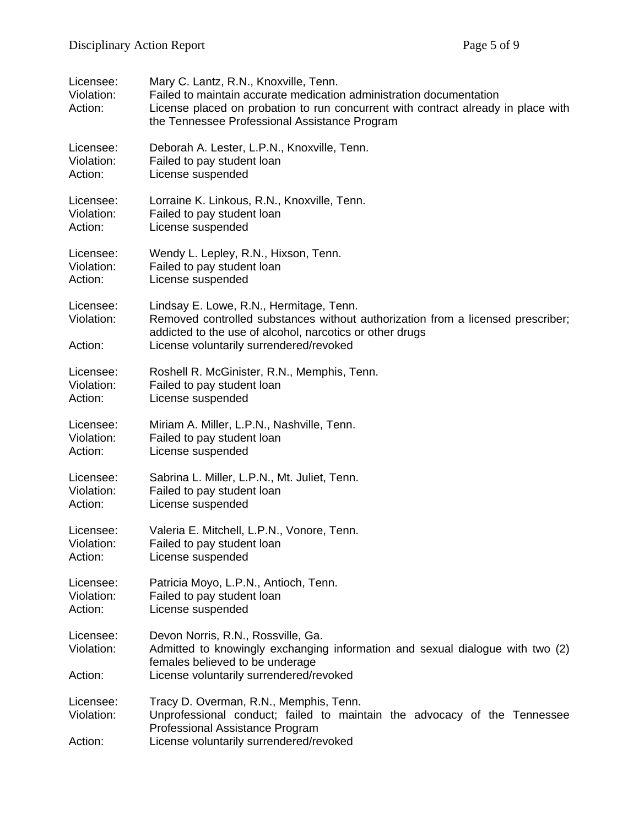| Licensee:<br>Violation:<br>Action: | Mary C. Lantz, R.N., Knoxville, Tenn.<br>Failed to maintain accurate medication administration documentation<br>License placed on probation to run concurrent with contract already in place with<br>the Tennessee Professional Assistance Program |
|------------------------------------|----------------------------------------------------------------------------------------------------------------------------------------------------------------------------------------------------------------------------------------------------|
| Licensee:                          | Deborah A. Lester, L.P.N., Knoxville, Tenn.                                                                                                                                                                                                        |
| Violation:                         | Failed to pay student loan                                                                                                                                                                                                                         |
| Action:                            | License suspended                                                                                                                                                                                                                                  |
| Licensee:                          | Lorraine K. Linkous, R.N., Knoxville, Tenn.                                                                                                                                                                                                        |
| Violation:                         | Failed to pay student loan                                                                                                                                                                                                                         |
| Action:                            | License suspended                                                                                                                                                                                                                                  |
| Licensee:                          | Wendy L. Lepley, R.N., Hixson, Tenn.                                                                                                                                                                                                               |
| Violation:                         | Failed to pay student loan                                                                                                                                                                                                                         |
| Action:                            | License suspended                                                                                                                                                                                                                                  |
| Licensee:<br>Violation:<br>Action: | Lindsay E. Lowe, R.N., Hermitage, Tenn.<br>Removed controlled substances without authorization from a licensed prescriber;<br>addicted to the use of alcohol, narcotics or other drugs<br>License voluntarily surrendered/revoked                  |
| Licensee:                          | Roshell R. McGinister, R.N., Memphis, Tenn.                                                                                                                                                                                                        |
| Violation:                         | Failed to pay student loan                                                                                                                                                                                                                         |
| Action:                            | License suspended                                                                                                                                                                                                                                  |
| Licensee:                          | Miriam A. Miller, L.P.N., Nashville, Tenn.                                                                                                                                                                                                         |
| Violation:                         | Failed to pay student loan                                                                                                                                                                                                                         |
| Action:                            | License suspended                                                                                                                                                                                                                                  |
| Licensee:                          | Sabrina L. Miller, L.P.N., Mt. Juliet, Tenn.                                                                                                                                                                                                       |
| Violation:                         | Failed to pay student loan                                                                                                                                                                                                                         |
| Action:                            | License suspended                                                                                                                                                                                                                                  |
| Licensee:                          | Valeria E. Mitchell, L.P.N., Vonore, Tenn.                                                                                                                                                                                                         |
| Violation:                         | Failed to pay student loan                                                                                                                                                                                                                         |
| Action:                            | License suspended                                                                                                                                                                                                                                  |
| Licensee:                          | Patricia Moyo, L.P.N., Antioch, Tenn.                                                                                                                                                                                                              |
| Violation:                         | Failed to pay student loan                                                                                                                                                                                                                         |
| Action:                            | License suspended                                                                                                                                                                                                                                  |
| Licensee:<br>Violation:<br>Action: | Devon Norris, R.N., Rossville, Ga.<br>Admitted to knowingly exchanging information and sexual dialogue with two (2)<br>females believed to be underage<br>License voluntarily surrendered/revoked                                                  |
| Licensee:<br>Violation:<br>Action: | Tracy D. Overman, R.N., Memphis, Tenn.<br>Unprofessional conduct; failed to maintain the advocacy of the Tennessee<br>Professional Assistance Program<br>License voluntarily surrendered/revoked                                                   |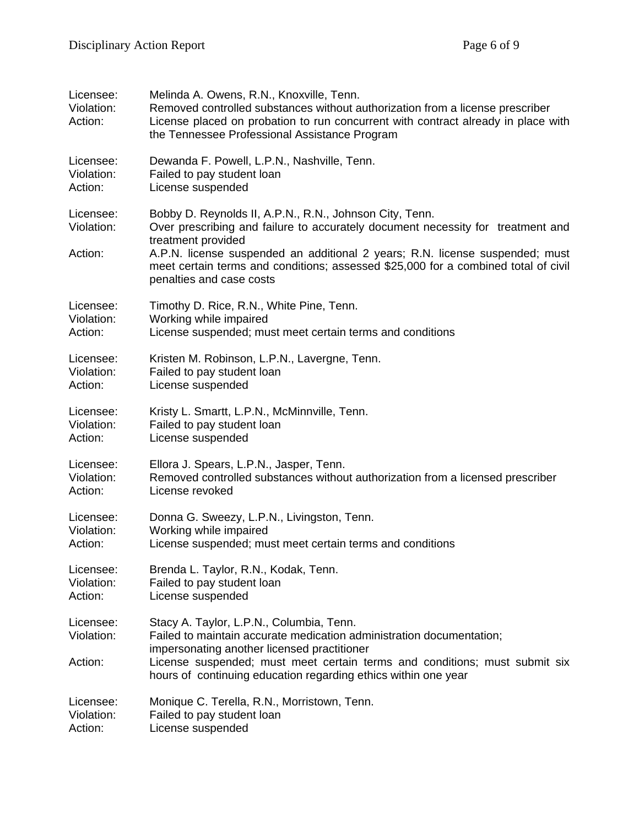| Licensee:<br>Violation:<br>Action: | Melinda A. Owens, R.N., Knoxville, Tenn.<br>Removed controlled substances without authorization from a license prescriber<br>License placed on probation to run concurrent with contract already in place with<br>the Tennessee Professional Assistance Program                                                                                                    |
|------------------------------------|--------------------------------------------------------------------------------------------------------------------------------------------------------------------------------------------------------------------------------------------------------------------------------------------------------------------------------------------------------------------|
| Licensee:                          | Dewanda F. Powell, L.P.N., Nashville, Tenn.                                                                                                                                                                                                                                                                                                                        |
| Violation:                         | Failed to pay student loan                                                                                                                                                                                                                                                                                                                                         |
| Action:                            | License suspended                                                                                                                                                                                                                                                                                                                                                  |
| Licensee:<br>Violation:<br>Action: | Bobby D. Reynolds II, A.P.N., R.N., Johnson City, Tenn.<br>Over prescribing and failure to accurately document necessity for treatment and<br>treatment provided<br>A.P.N. license suspended an additional 2 years; R.N. license suspended; must<br>meet certain terms and conditions; assessed \$25,000 for a combined total of civil<br>penalties and case costs |
| Licensee:                          | Timothy D. Rice, R.N., White Pine, Tenn.                                                                                                                                                                                                                                                                                                                           |
| Violation:                         | Working while impaired                                                                                                                                                                                                                                                                                                                                             |
| Action:                            | License suspended; must meet certain terms and conditions                                                                                                                                                                                                                                                                                                          |
| Licensee:                          | Kristen M. Robinson, L.P.N., Lavergne, Tenn.                                                                                                                                                                                                                                                                                                                       |
| Violation:                         | Failed to pay student loan                                                                                                                                                                                                                                                                                                                                         |
| Action:                            | License suspended                                                                                                                                                                                                                                                                                                                                                  |
| Licensee:                          | Kristy L. Smartt, L.P.N., McMinnville, Tenn.                                                                                                                                                                                                                                                                                                                       |
| Violation:                         | Failed to pay student loan                                                                                                                                                                                                                                                                                                                                         |
| Action:                            | License suspended                                                                                                                                                                                                                                                                                                                                                  |
| Licensee:                          | Ellora J. Spears, L.P.N., Jasper, Tenn.                                                                                                                                                                                                                                                                                                                            |
| Violation:                         | Removed controlled substances without authorization from a licensed prescriber                                                                                                                                                                                                                                                                                     |
| Action:                            | License revoked                                                                                                                                                                                                                                                                                                                                                    |
| Licensee:                          | Donna G. Sweezy, L.P.N., Livingston, Tenn.                                                                                                                                                                                                                                                                                                                         |
| Violation:                         | Working while impaired                                                                                                                                                                                                                                                                                                                                             |
| Action:                            | License suspended; must meet certain terms and conditions                                                                                                                                                                                                                                                                                                          |
| Licensee:                          | Brenda L. Taylor, R.N., Kodak, Tenn.                                                                                                                                                                                                                                                                                                                               |
| Violation:                         | Failed to pay student loan                                                                                                                                                                                                                                                                                                                                         |
| Action:                            | License suspended                                                                                                                                                                                                                                                                                                                                                  |
| Licensee:<br>Violation:<br>Action: | Stacy A. Taylor, L.P.N., Columbia, Tenn.<br>Failed to maintain accurate medication administration documentation;<br>impersonating another licensed practitioner<br>License suspended; must meet certain terms and conditions; must submit six<br>hours of continuing education regarding ethics within one year                                                    |
| Licensee:                          | Monique C. Terella, R.N., Morristown, Tenn.                                                                                                                                                                                                                                                                                                                        |
| Violation:                         | Failed to pay student loan                                                                                                                                                                                                                                                                                                                                         |
| Action:                            | License suspended                                                                                                                                                                                                                                                                                                                                                  |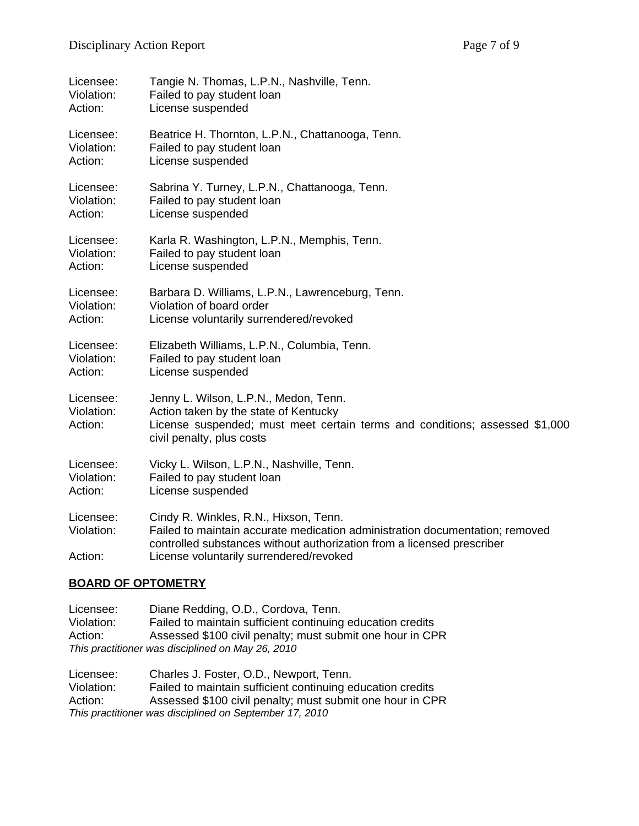| Licensee:                          | Tangie N. Thomas, L.P.N., Nashville, Tenn.                                                                                                                                                                                                 |
|------------------------------------|--------------------------------------------------------------------------------------------------------------------------------------------------------------------------------------------------------------------------------------------|
| Violation:                         | Failed to pay student loan                                                                                                                                                                                                                 |
| Action:                            | License suspended                                                                                                                                                                                                                          |
| Licensee:                          | Beatrice H. Thornton, L.P.N., Chattanooga, Tenn.                                                                                                                                                                                           |
| Violation:                         | Failed to pay student loan                                                                                                                                                                                                                 |
| Action:                            | License suspended                                                                                                                                                                                                                          |
| Licensee:                          | Sabrina Y. Turney, L.P.N., Chattanooga, Tenn.                                                                                                                                                                                              |
| Violation:                         | Failed to pay student loan                                                                                                                                                                                                                 |
| Action:                            | License suspended                                                                                                                                                                                                                          |
| Licensee:                          | Karla R. Washington, L.P.N., Memphis, Tenn.                                                                                                                                                                                                |
| Violation:                         | Failed to pay student loan                                                                                                                                                                                                                 |
| Action:                            | License suspended                                                                                                                                                                                                                          |
| Licensee:                          | Barbara D. Williams, L.P.N., Lawrenceburg, Tenn.                                                                                                                                                                                           |
| Violation:                         | Violation of board order                                                                                                                                                                                                                   |
| Action:                            | License voluntarily surrendered/revoked                                                                                                                                                                                                    |
| Licensee:                          | Elizabeth Williams, L.P.N., Columbia, Tenn.                                                                                                                                                                                                |
| Violation:                         | Failed to pay student loan                                                                                                                                                                                                                 |
| Action:                            | License suspended                                                                                                                                                                                                                          |
| Licensee:<br>Violation:<br>Action: | Jenny L. Wilson, L.P.N., Medon, Tenn.<br>Action taken by the state of Kentucky<br>License suspended; must meet certain terms and conditions; assessed \$1,000<br>civil penalty, plus costs                                                 |
| Licensee:                          | Vicky L. Wilson, L.P.N., Nashville, Tenn.                                                                                                                                                                                                  |
| Violation:                         | Failed to pay student loan                                                                                                                                                                                                                 |
| Action:                            | License suspended                                                                                                                                                                                                                          |
| Licensee:<br>Violation:<br>Action: | Cindy R. Winkles, R.N., Hixson, Tenn.<br>Failed to maintain accurate medication administration documentation; removed<br>controlled substances without authorization from a licensed prescriber<br>License voluntarily surrendered/revoked |

### **BOARD OF OPTOMETRY**

Licensee: Diane Redding, O.D., Cordova, Tenn. Violation: Failed to maintain sufficient continuing education credits Action: Assessed \$100 civil penalty; must submit one hour in CPR *This practitioner was disciplined on May 26, 2010* 

Licensee: Charles J. Foster, O.D., Newport, Tenn. Violation: Failed to maintain sufficient continuing education credits Action: Assessed \$100 civil penalty; must submit one hour in CPR *This practitioner was disciplined on September 17, 2010*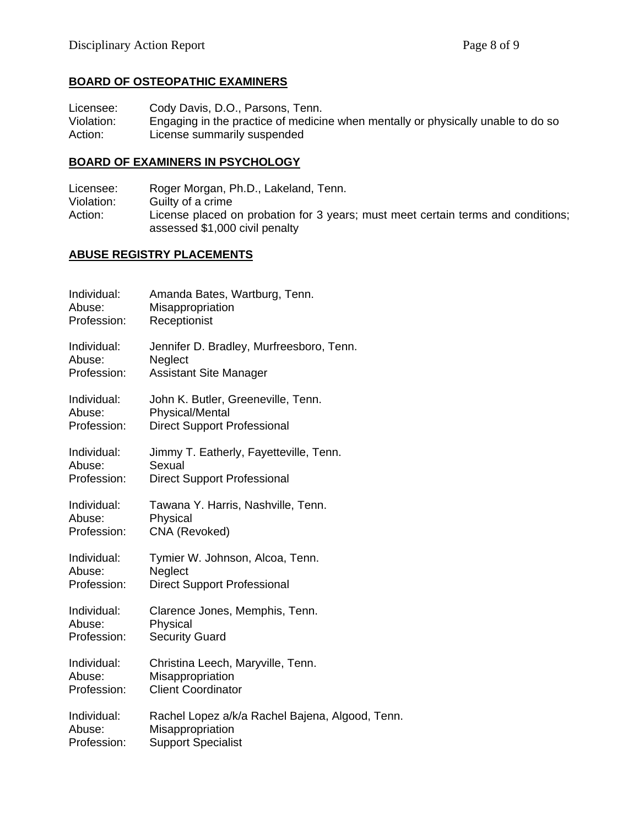# **BOARD OF OSTEOPATHIC EXAMINERS**

Licensee: Cody Davis, D.O., Parsons, Tenn.<br>Violation: Engaging in the practice of medicing Engaging in the practice of medicine when mentally or physically unable to do so Action: License summarily suspended

#### **BOARD OF EXAMINERS IN PSYCHOLOGY**

Licensee: Roger Morgan, Ph.D., Lakeland, Tenn. Violation: Guilty of a crime Action: License placed on probation for 3 years; must meet certain terms and conditions; assessed \$1,000 civil penalty

#### **ABUSE REGISTRY PLACEMENTS**

| Individual: | Amanda Bates, Wartburg, Tenn.                   |
|-------------|-------------------------------------------------|
| Abuse:      | Misappropriation                                |
| Profession: | Receptionist                                    |
| Individual: | Jennifer D. Bradley, Murfreesboro, Tenn.        |
| Abuse:      | Neglect                                         |
| Profession: | <b>Assistant Site Manager</b>                   |
| Individual: | John K. Butler, Greeneville, Tenn.              |
| Abuse:      | <b>Physical/Mental</b>                          |
| Profession: | <b>Direct Support Professional</b>              |
| Individual: | Jimmy T. Eatherly, Fayetteville, Tenn.          |
| Abuse:      | Sexual                                          |
| Profession: | <b>Direct Support Professional</b>              |
| Individual: | Tawana Y. Harris, Nashville, Tenn.              |
| Abuse:      | Physical                                        |
| Profession: | CNA (Revoked)                                   |
| Individual: | Tymier W. Johnson, Alcoa, Tenn.                 |
| Abuse:      | Neglect                                         |
| Profession: | <b>Direct Support Professional</b>              |
| Individual: | Clarence Jones, Memphis, Tenn.                  |
| Abuse:      | Physical                                        |
| Profession: | <b>Security Guard</b>                           |
| Individual: | Christina Leech, Maryville, Tenn.               |
| Abuse:      | Misappropriation                                |
| Profession: | <b>Client Coordinator</b>                       |
| Individual: | Rachel Lopez a/k/a Rachel Bajena, Algood, Tenn. |
| Abuse:      | Misappropriation                                |
| Profession: | <b>Support Specialist</b>                       |